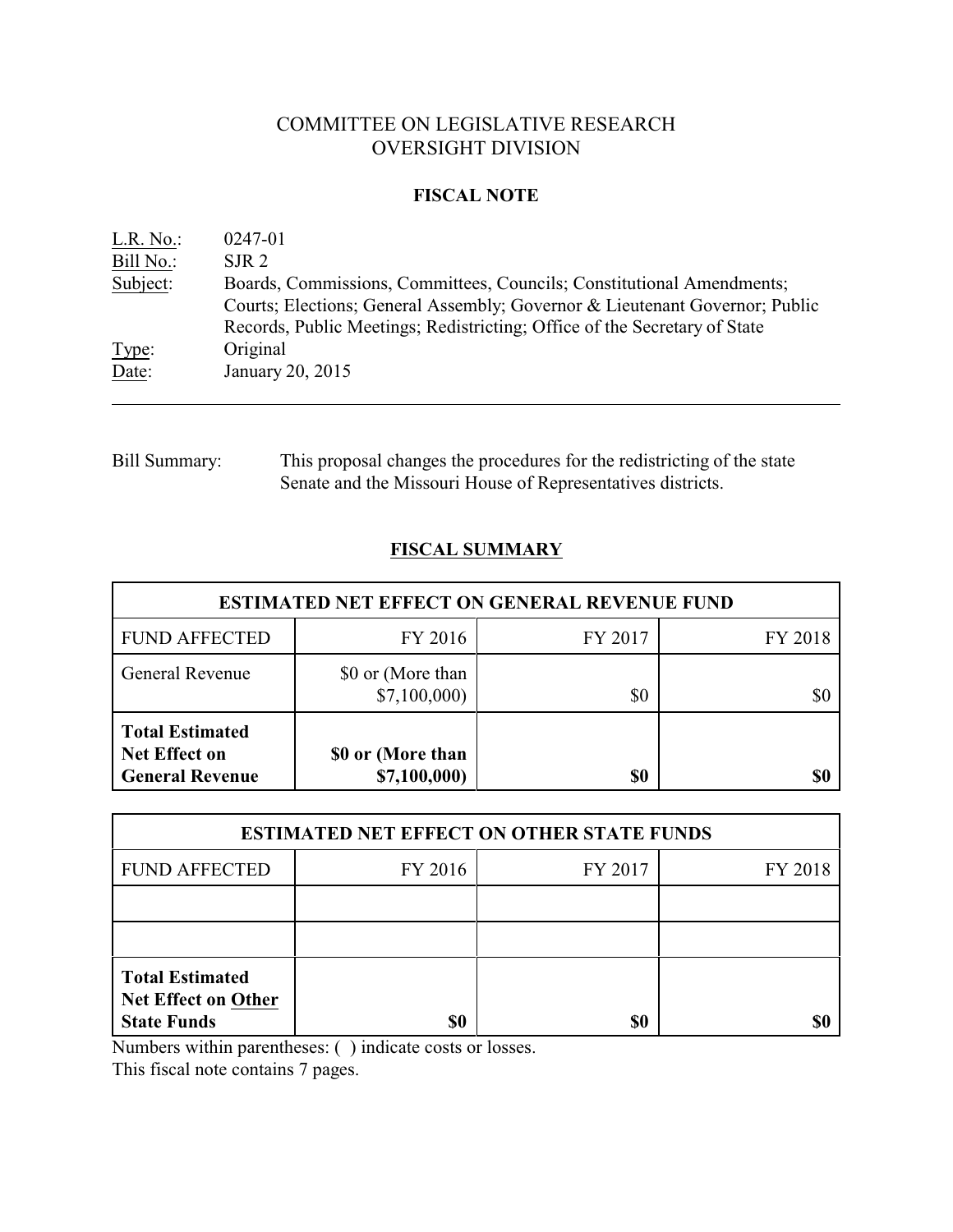# COMMITTEE ON LEGISLATIVE RESEARCH OVERSIGHT DIVISION

### **FISCAL NOTE**

| L.R. No.  | 0247-01                                                                                                                                                                                                                           |
|-----------|-----------------------------------------------------------------------------------------------------------------------------------------------------------------------------------------------------------------------------------|
| Bill No.: | SJR <sub>2</sub>                                                                                                                                                                                                                  |
| Subject:  | Boards, Commissions, Committees, Councils; Constitutional Amendments;<br>Courts; Elections; General Assembly; Governor & Lieutenant Governor; Public<br>Records, Public Meetings; Redistricting; Office of the Secretary of State |
| Type:     | Original                                                                                                                                                                                                                          |
| Date:     | January 20, 2015                                                                                                                                                                                                                  |

Bill Summary: This proposal changes the procedures for the redistricting of the state Senate and the Missouri House of Representatives districts.

# **FISCAL SUMMARY**

| <b>ESTIMATED NET EFFECT ON GENERAL REVENUE FUND</b>                      |                                   |         |         |  |
|--------------------------------------------------------------------------|-----------------------------------|---------|---------|--|
| <b>FUND AFFECTED</b>                                                     | FY 2016                           | FY 2017 | FY 2018 |  |
| <b>General Revenue</b>                                                   | \$0 or (More than<br>\$7,100,000  | \$0     | \$0     |  |
| <b>Total Estimated</b><br><b>Net Effect on</b><br><b>General Revenue</b> | \$0 or (More than<br>\$7,100,000) | \$0     | \$0     |  |

| <b>ESTIMATED NET EFFECT ON OTHER STATE FUNDS</b>                           |         |         |         |  |  |
|----------------------------------------------------------------------------|---------|---------|---------|--|--|
| <b>FUND AFFECTED</b>                                                       | FY 2016 | FY 2017 | FY 2018 |  |  |
|                                                                            |         |         |         |  |  |
|                                                                            |         |         |         |  |  |
| <b>Total Estimated</b><br><b>Net Effect on Other</b><br><b>State Funds</b> | \$0     | \$0     |         |  |  |

Numbers within parentheses: ( ) indicate costs or losses.

This fiscal note contains 7 pages.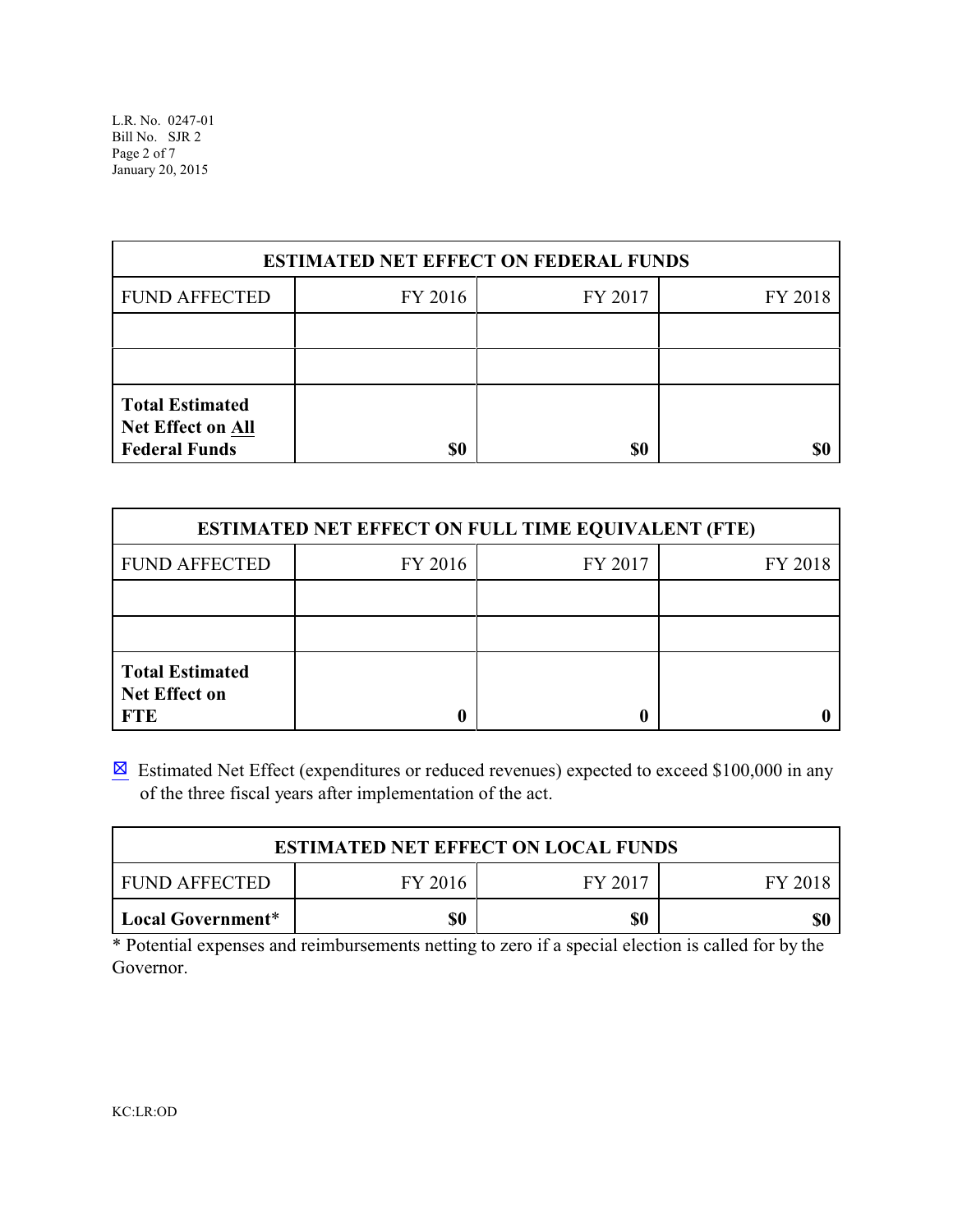| <b>ESTIMATED NET EFFECT ON FEDERAL FUNDS</b>                               |         |         |         |  |  |
|----------------------------------------------------------------------------|---------|---------|---------|--|--|
| <b>FUND AFFECTED</b>                                                       | FY 2016 | FY 2017 | FY 2018 |  |  |
|                                                                            |         |         |         |  |  |
|                                                                            |         |         |         |  |  |
| <b>Total Estimated</b><br><b>Net Effect on All</b><br><b>Federal Funds</b> | \$0     | \$0     |         |  |  |

| <b>ESTIMATED NET EFFECT ON FULL TIME EQUIVALENT (FTE)</b>    |         |         |         |  |  |
|--------------------------------------------------------------|---------|---------|---------|--|--|
| <b>FUND AFFECTED</b>                                         | FY 2016 | FY 2017 | FY 2018 |  |  |
|                                                              |         |         |         |  |  |
|                                                              |         |         |         |  |  |
| <b>Total Estimated</b><br><b>Net Effect on</b><br><b>FTE</b> |         |         |         |  |  |

 $\boxtimes$  Estimated Net Effect (expenditures or reduced revenues) expected to exceed \$100,000 in any of the three fiscal years after implementation of the act.

| <b>ESTIMATED NET EFFECT ON LOCAL FUNDS</b>     |  |  |  |  |  |
|------------------------------------------------|--|--|--|--|--|
| FY 2016<br>FY 2017<br>FUND AFFECTED<br>FY 2018 |  |  |  |  |  |
| \$0<br>\$0<br>  Local Government*<br>\$0       |  |  |  |  |  |

\* Potential expenses and reimbursements netting to zero if a special election is called for by the Governor.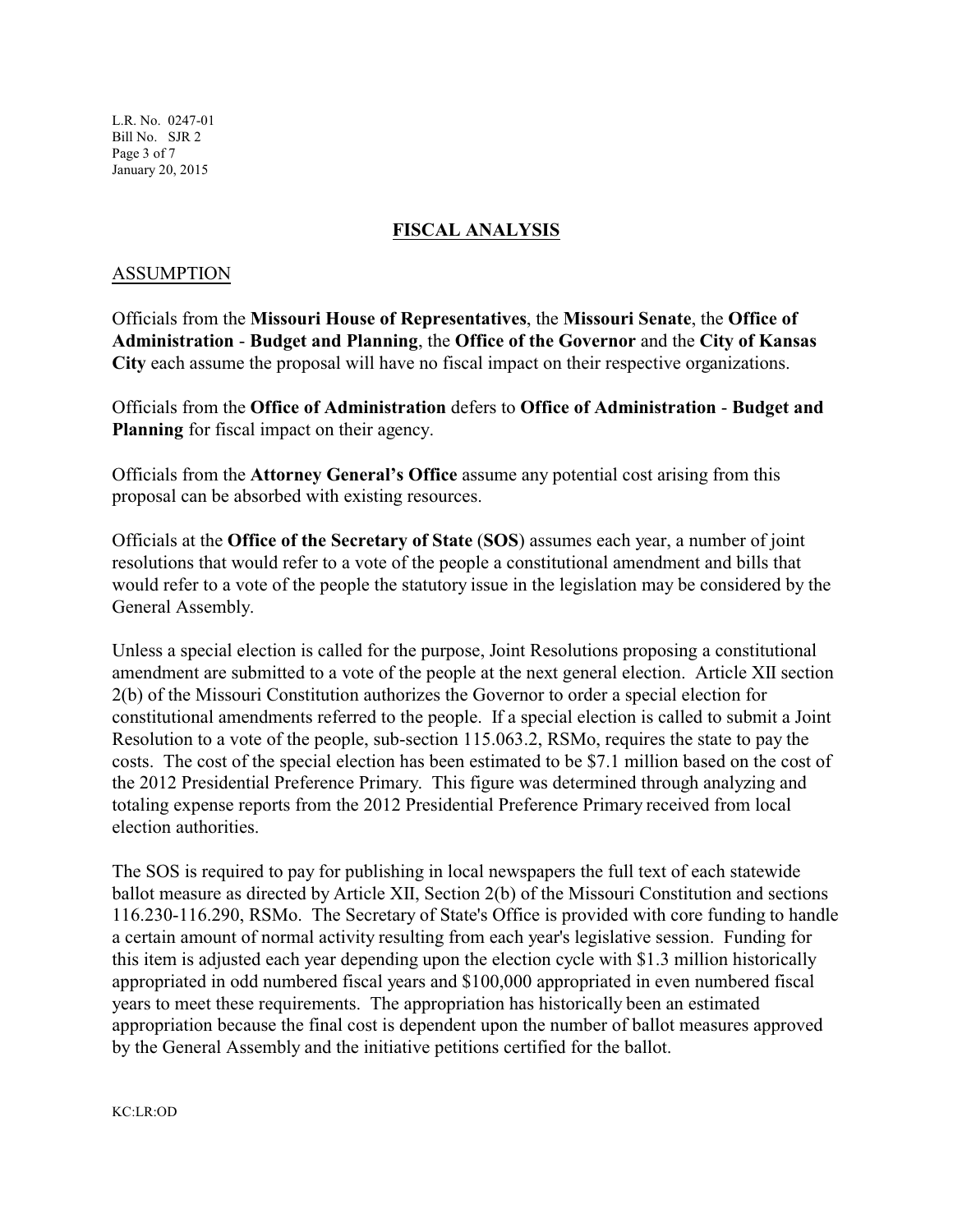L.R. No. 0247-01 Bill No. SJR 2 Page 3 of 7 January 20, 2015

### **FISCAL ANALYSIS**

#### ASSUMPTION

Officials from the **Missouri House of Representatives**, the **Missouri Senate**, the **Office of Administration** - **Budget and Planning**, the **Office of the Governor** and the **City of Kansas City** each assume the proposal will have no fiscal impact on their respective organizations.

Officials from the **Office of Administration** defers to **Office of Administration** - **Budget and Planning** for fiscal impact on their agency.

Officials from the **Attorney General's Office** assume any potential cost arising from this proposal can be absorbed with existing resources.

Officials at the **Office of the Secretary of State** (**SOS**) assumes each year, a number of joint resolutions that would refer to a vote of the people a constitutional amendment and bills that would refer to a vote of the people the statutory issue in the legislation may be considered by the General Assembly.

Unless a special election is called for the purpose, Joint Resolutions proposing a constitutional amendment are submitted to a vote of the people at the next general election. Article XII section 2(b) of the Missouri Constitution authorizes the Governor to order a special election for constitutional amendments referred to the people. If a special election is called to submit a Joint Resolution to a vote of the people, sub-section 115.063.2, RSMo, requires the state to pay the costs. The cost of the special election has been estimated to be \$7.1 million based on the cost of the 2012 Presidential Preference Primary. This figure was determined through analyzing and totaling expense reports from the 2012 Presidential Preference Primary received from local election authorities.

The SOS is required to pay for publishing in local newspapers the full text of each statewide ballot measure as directed by Article XII, Section 2(b) of the Missouri Constitution and sections 116.230-116.290, RSMo. The Secretary of State's Office is provided with core funding to handle a certain amount of normal activity resulting from each year's legislative session. Funding for this item is adjusted each year depending upon the election cycle with \$1.3 million historically appropriated in odd numbered fiscal years and \$100,000 appropriated in even numbered fiscal years to meet these requirements. The appropriation has historically been an estimated appropriation because the final cost is dependent upon the number of ballot measures approved by the General Assembly and the initiative petitions certified for the ballot.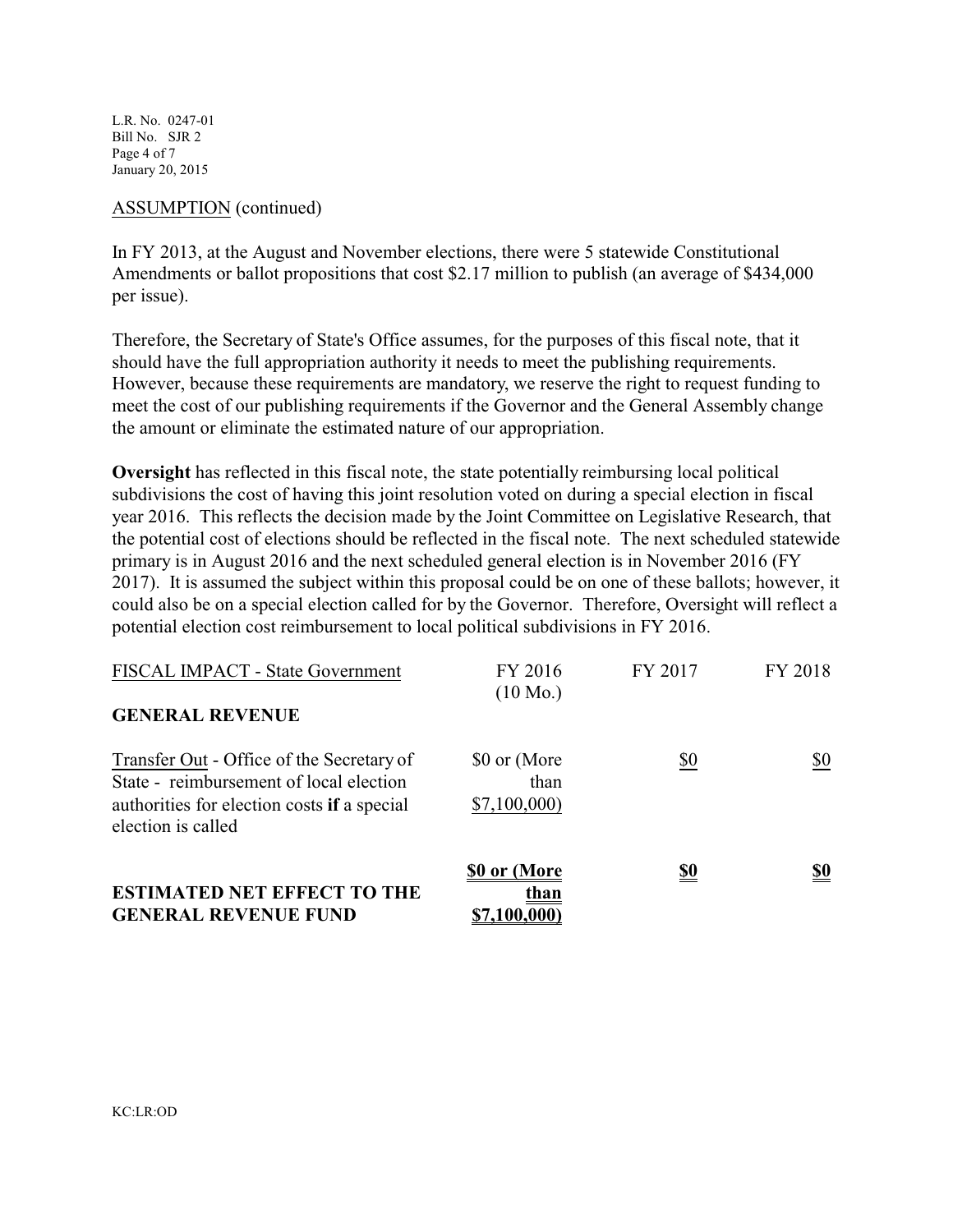L.R. No. 0247-01 Bill No. SJR 2 Page 4 of 7 January 20, 2015

#### ASSUMPTION (continued)

In FY 2013, at the August and November elections, there were 5 statewide Constitutional Amendments or ballot propositions that cost \$2.17 million to publish (an average of \$434,000 per issue).

Therefore, the Secretary of State's Office assumes, for the purposes of this fiscal note, that it should have the full appropriation authority it needs to meet the publishing requirements. However, because these requirements are mandatory, we reserve the right to request funding to meet the cost of our publishing requirements if the Governor and the General Assembly change the amount or eliminate the estimated nature of our appropriation.

**Oversight** has reflected in this fiscal note, the state potentially reimbursing local political subdivisions the cost of having this joint resolution voted on during a special election in fiscal year 2016. This reflects the decision made by the Joint Committee on Legislative Research, that the potential cost of elections should be reflected in the fiscal note. The next scheduled statewide primary is in August 2016 and the next scheduled general election is in November 2016 (FY 2017). It is assumed the subject within this proposal could be on one of these ballots; however, it could also be on a special election called for by the Governor. Therefore, Oversight will reflect a potential election cost reimbursement to local political subdivisions in FY 2016.

| <b>ESTIMATED NET EFFECT TO THE</b><br><b>GENERAL REVENUE FUND</b>                                                                                         | \$0 or (More<br>than<br>\$7,100,000 | <u>\$0</u> | <u>\$0</u> |
|-----------------------------------------------------------------------------------------------------------------------------------------------------------|-------------------------------------|------------|------------|
| Transfer Out - Office of the Secretary of<br>State - reimbursement of local election<br>authorities for election costs if a special<br>election is called | \$0 or (More<br>than<br>\$7,100,000 | \$0        | \$0        |
| FISCAL IMPACT - State Government<br><b>GENERAL REVENUE</b>                                                                                                | FY 2016<br>$(10 \text{ Mo.})$       | FY 2017    | FY 2018    |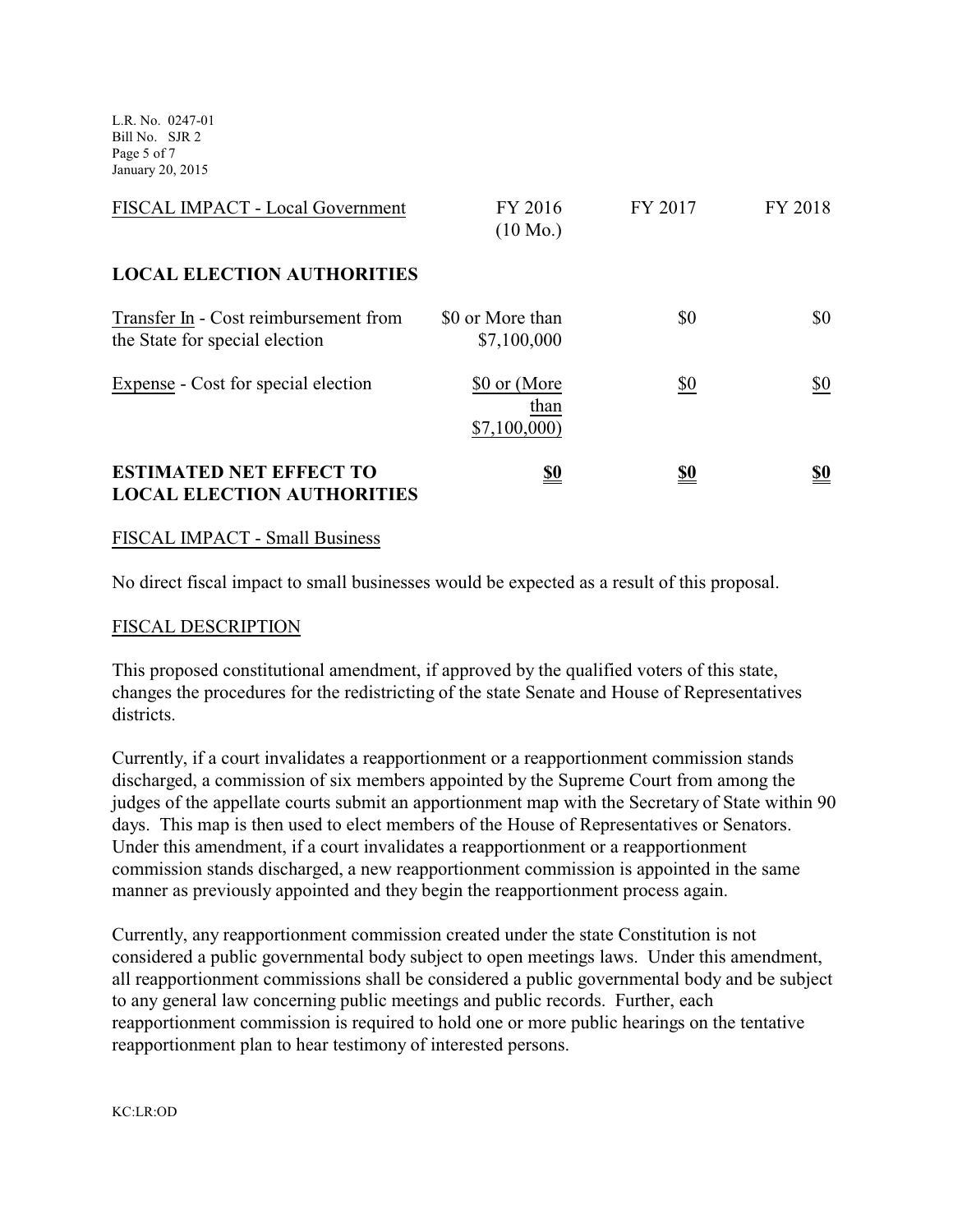L.R. No. 0247-01 Bill No. SJR 2 Page 5 of 7 January 20, 2015

| FISCAL IMPACT - Local Government                                        | FY 2016<br>$(10 \text{ Mo.})$       | FY 2017    | FY 2018    |
|-------------------------------------------------------------------------|-------------------------------------|------------|------------|
| <b>LOCAL ELECTION AUTHORITIES</b>                                       |                                     |            |            |
| Transfer In - Cost reimbursement from<br>the State for special election | \$0 or More than<br>\$7,100,000     | \$0        | \$0        |
| Expense - Cost for special election                                     | \$0 or (More<br>than<br>\$7,100,000 | \$0        | \$0        |
| <b>ESTIMATED NET EFFECT TO</b><br><b>LOCAL ELECTION AUTHORITIES</b>     | <u>\$0</u>                          | <u>\$0</u> | <u>\$0</u> |

### FISCAL IMPACT - Small Business

No direct fiscal impact to small businesses would be expected as a result of this proposal.

#### FISCAL DESCRIPTION

This proposed constitutional amendment, if approved by the qualified voters of this state, changes the procedures for the redistricting of the state Senate and House of Representatives districts.

Currently, if a court invalidates a reapportionment or a reapportionment commission stands discharged, a commission of six members appointed by the Supreme Court from among the judges of the appellate courts submit an apportionment map with the Secretary of State within 90 days. This map is then used to elect members of the House of Representatives or Senators. Under this amendment, if a court invalidates a reapportionment or a reapportionment commission stands discharged, a new reapportionment commission is appointed in the same manner as previously appointed and they begin the reapportionment process again.

Currently, any reapportionment commission created under the state Constitution is not considered a public governmental body subject to open meetings laws. Under this amendment, all reapportionment commissions shall be considered a public governmental body and be subject to any general law concerning public meetings and public records. Further, each reapportionment commission is required to hold one or more public hearings on the tentative reapportionment plan to hear testimony of interested persons.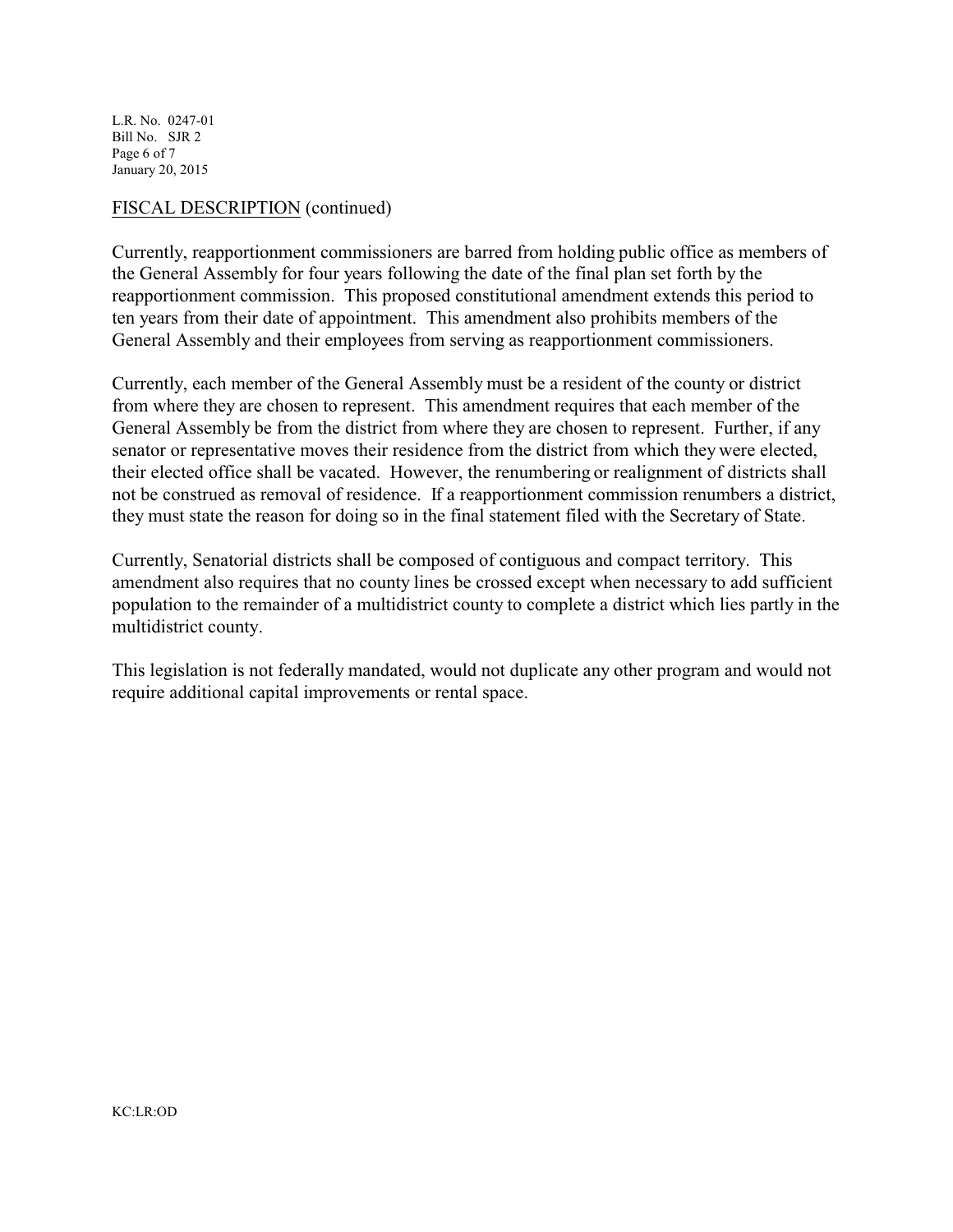L.R. No. 0247-01 Bill No. SJR 2 Page 6 of 7 January 20, 2015

### FISCAL DESCRIPTION (continued)

Currently, reapportionment commissioners are barred from holding public office as members of the General Assembly for four years following the date of the final plan set forth by the reapportionment commission. This proposed constitutional amendment extends this period to ten years from their date of appointment. This amendment also prohibits members of the General Assembly and their employees from serving as reapportionment commissioners.

Currently, each member of the General Assembly must be a resident of the county or district from where they are chosen to represent. This amendment requires that each member of the General Assembly be from the district from where they are chosen to represent. Further, if any senator or representative moves their residence from the district from which they were elected, their elected office shall be vacated. However, the renumbering or realignment of districts shall not be construed as removal of residence. If a reapportionment commission renumbers a district, they must state the reason for doing so in the final statement filed with the Secretary of State.

Currently, Senatorial districts shall be composed of contiguous and compact territory. This amendment also requires that no county lines be crossed except when necessary to add sufficient population to the remainder of a multidistrict county to complete a district which lies partly in the multidistrict county.

This legislation is not federally mandated, would not duplicate any other program and would not require additional capital improvements or rental space.